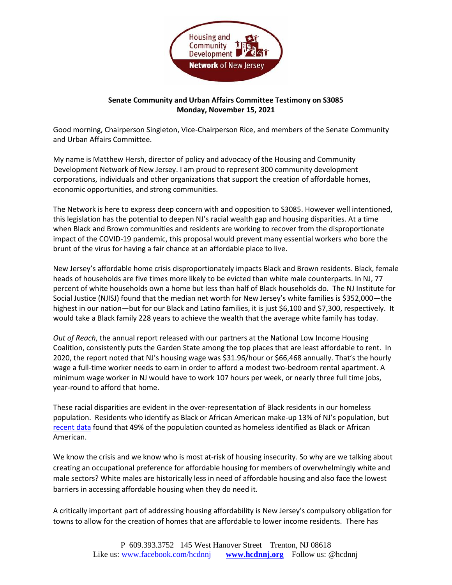

## **Senate Community and Urban Affairs Committee Testimony on S3085 Monday, November 15, 2021**

Good morning, Chairperson Singleton, Vice-Chairperson Rice, and members of the Senate Community and Urban Affairs Committee.

My name is Matthew Hersh, director of policy and advocacy of the Housing and Community Development Network of New Jersey. I am proud to represent 300 community development corporations, individuals and other organizations that support the creation of affordable homes, economic opportunities, and strong communities.

The Network is here to express deep concern with and opposition to S3085. However well intentioned, this legislation has the potential to deepen NJ's racial wealth gap and housing disparities. At a time when Black and Brown communities and residents are working to recover from the disproportionate impact of the COVID-19 pandemic, this proposal would prevent many essential workers who bore the brunt of the virus for having a fair chance at an affordable place to live.

New Jersey's affordable home crisis disproportionately impacts Black and Brown residents. Black, female heads of households are five times more likely to be evicted than white male counterparts. In NJ, 77 percent of white households own a home but less than half of Black households do. The NJ Institute for Social Justice (NJISJ) found that the median net worth for New Jersey's white families is \$352,000—the highest in our nation—but for our Black and Latino families, it is just \$6,100 and \$7,300, respectively. It would take a Black family 228 years to achieve the wealth that the average white family has today.

*Out of Reach*, the annual report released with our partners at the National Low Income Housing Coalition, consistently puts the Garden State among the top places that are least affordable to rent. In 2020, the report noted that NJ's housing wage was \$31.96/hour or \$66,468 annually. That's the hourly wage a full-time worker needs to earn in order to afford a modest two-bedroom rental apartment. A minimum wage worker in NJ would have to work 107 hours per week, or nearly three full time jobs, year-round to afford that home.

These racial disparities are evident in the over-representation of Black residents in our homeless population. Residents who identify as Black or African American make-up 13% of NJ's population, but [recent](https://www.njceh.org/data-on-homelessness) data found that 49% of the population counted as homeless identified as Black or African American.

We know the crisis and we know who is most at-risk of housing insecurity. So why are we talking about creating an occupational preference for affordable housing for members of overwhelmingly white and male sectors? White males are historically less in need of affordable housing and also face the lowest barriers in accessing affordable housing when they do need it.

A critically important part of addressing housing affordability is New Jersey's compulsory obligation for towns to allow for the creation of homes that are affordable to lower income residents. There has